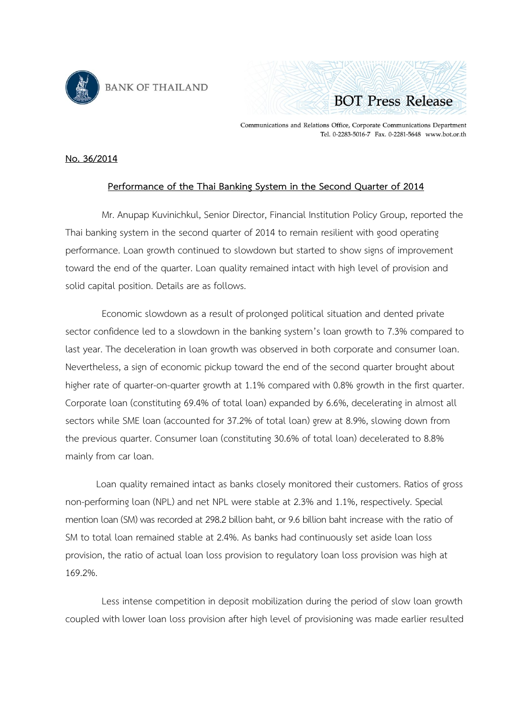



Communications and Relations Office, Corporate Communications Department Tel. 0-2283-5016-7 Fax. 0-2281-5648 www.bot.or.th

## **No. 36/2014**

## **Performance of the Thai Banking System in the Second [Quarter of 2014](http://www.bot.or.th/Thai/PressAndSpeeches/Press/News2555/n2755e.pdf)**

Mr. Anupap Kuvinichkul, Senior Director, Financial Institution Policy Group, reported the Thai banking system in the second quarter of 2014 to remain resilient with good operating performance. Loan growth continued to slowdown but started to show signs of improvement toward the end of the quarter. Loan quality remained intact with high level of provision and solid capital position. Details are as follows.

Economic slowdown as a result of prolonged political situation and dented private sector confidence led to a slowdown in the banking system's loan growth to 7.3% compared to last year. The deceleration in loan growth was observed in both corporate and consumer loan. Nevertheless, a sign of economic pickup toward the end of the second quarter brought about higher rate of quarter-on-quarter growth at 1.1% compared with 0.8% growth in the first quarter. Corporate loan (constituting 69.4% of total loan) expanded by 6.6%, decelerating in almost all sectors while SME loan (accounted for 37.2% of total loan) grew at 8.9%, slowing down from the previous quarter. Consumer loan (constituting 30.6% of total loan) decelerated to 8.8% mainly from car loan.

Loan quality remained intact as banks closely monitored their customers. Ratios of gross non-performing loan (NPL) and net NPL were stable at 2.3% and 1.1%, respectively. Special mention loan (SM) was recorded at 298.2 billion baht, or 9.6 billion baht increase with the ratio of SM to total loan remained stable at 2.4%. As banks had continuously set aside loan loss provision, the ratio of actual loan loss provision to regulatory loan loss provision was high at 169.2%.

Less intense competition in deposit mobilization during the period of slow loan growth coupled with lower loan loss provision after high level of provisioning was made earlier resulted